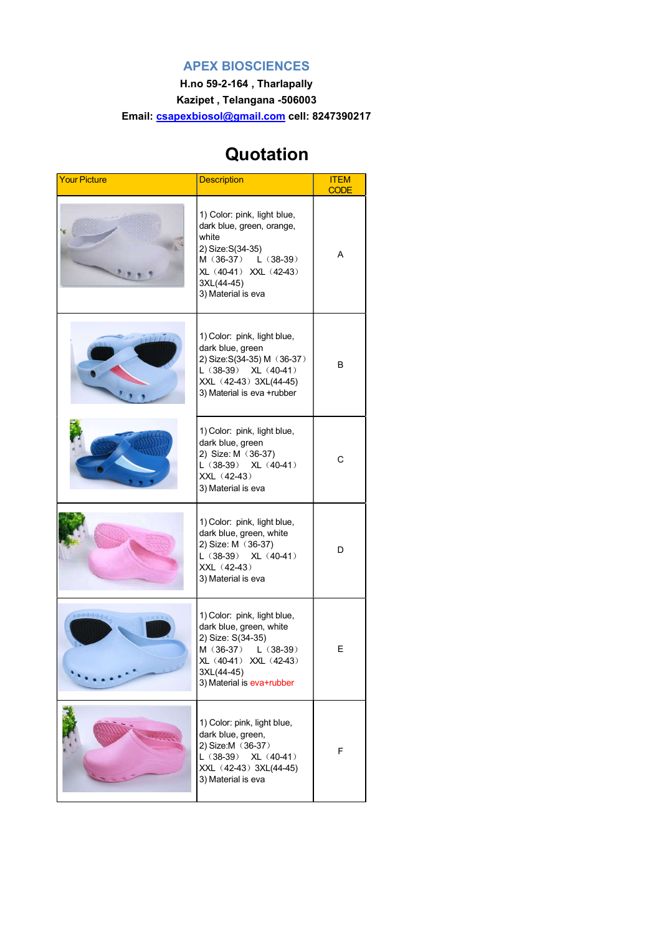## APEX BIOSCIENCES

H.no 59-2-164 , Tharlapally Kazipet , Telangana -506003 Email: csapexbiosol@gmail.com cell: 8247390217

## Quotation

| <b>Your Picture</b> | <b>Description</b>                                                                                                                                                          | <b>ITEM</b><br><b>CODE</b> |
|---------------------|-----------------------------------------------------------------------------------------------------------------------------------------------------------------------------|----------------------------|
|                     | 1) Color: pink, light blue,<br>dark blue, green, orange,<br>white<br>2) Size: S(34-35)<br>M (36-37) L (38-39)<br>XL (40-41) XXL (42-43)<br>3XL(44-45)<br>3) Material is eva | A                          |
|                     | 1) Color: pink, light blue,<br>dark blue, green<br>2) Size: S(34-35) M (36-37)<br>$L(38-39)$ XL $(40-41)$<br>XXL (42-43) 3XL(44-45)<br>3) Material is eva +rubber           | B                          |
|                     | 1) Color: pink, light blue,<br>dark blue, green<br>2) Size: M (36-37)<br>$L(38-39)$ XL $(40-41)$<br>XXL (42-43)<br>3) Material is eva                                       | С                          |
|                     | 1) Color: pink, light blue,<br>dark blue, green, white<br>2) Size: M (36-37)<br>$L(38-39)$ XL $(40-41)$<br>XXL (42-43)<br>3) Material is eva                                | D                          |
| Medicine Reduction  | 1) Color: pink, light blue,<br>dark blue, green, white<br>2) Size: S(34-35)<br>M (36-37)<br>$L(38-39)$<br>XL (40-41) XXL (42-43)<br>3XL(44-45)<br>3) Material is eva+rubber | E                          |
|                     | 1) Color: pink, light blue,<br>dark blue, green,<br>2) Size:M (36-37)<br>$L(38-39)$ XL $(40-41)$<br>XXL (42-43) 3XL(44-45)<br>3) Material is eva                            | F                          |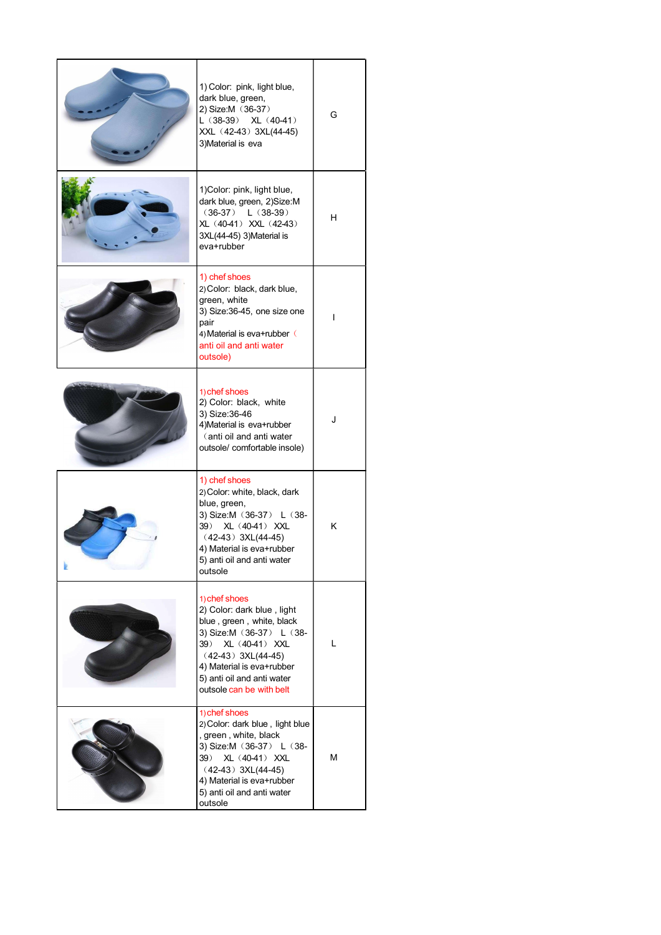| 1) Color: pink, light blue,<br>dark blue, green,<br>2) Size:M (36-37)<br>$L(38-39)$ XL $(40-41)$<br>XXL (42-43) 3XL(44-45)<br>3) Material is eva                                                                                              | G |
|-----------------------------------------------------------------------------------------------------------------------------------------------------------------------------------------------------------------------------------------------|---|
| 1) Color: pink, light blue,<br>dark blue, green, 2)Size:M<br>$(36-37)$ L $(38-39)$<br>XL (40-41) XXL (42-43)<br>3XL(44-45) 3)Material is<br>eva+rubber                                                                                        | H |
| 1) chef shoes<br>2) Color: black, dark blue,<br>green, white<br>3) Size:36-45, one size one<br>pair<br>4) Material is eva+rubber (<br>anti oil and anti water<br>outsole)                                                                     | ı |
| 1) chef shoes<br>2) Color: black, white<br>3) Size: 36-46<br>4) Material is eva+rubber<br>(anti oil and anti water<br>outsole/ comfortable insole)                                                                                            | J |
| 1) chef shoes<br>2) Color: white, black, dark<br>blue, green,<br>3) Size: M (36-37) L (38-<br>39)<br>XL (40-41) XXL<br>$(42-43)$ 3XL(44-45)<br>4) Material is eva+rubber<br>5) anti oil and anti water<br>outsole                             | κ |
| 1) chef shoes<br>2) Color: dark blue, light<br>blue, green, white, black<br>3) Size: M (36-37) L (38-<br>XL (40-41) XXL<br>39)<br>$(42-43)$ 3XL(44-45)<br>4) Material is eva+rubber<br>5) anti oil and anti water<br>outsole can be with belt | L |
| 1) chef shoes<br>2) Color: dark blue, light blue<br>, green, white, black<br>3) Size: M (36-37) L (38-<br>XL (40-41) XXL<br>39)<br>$(42-43)$ 3XL(44-45)<br>4) Material is eva+rubber<br>5) anti oil and anti water<br>outsole                 | М |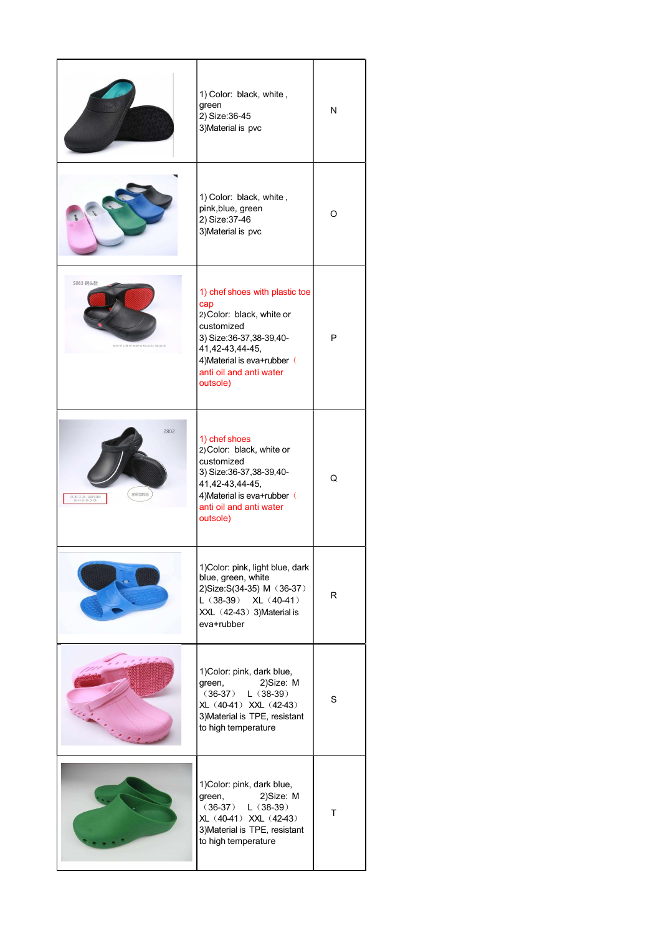|                                                          | 1) Color: black, white,<br>green<br>2) Size: 36-45<br>3) Material is pvc                                                                                                                                | N |
|----------------------------------------------------------|---------------------------------------------------------------------------------------------------------------------------------------------------------------------------------------------------------|---|
|                                                          | 1) Color: black, white,<br>pink, blue, green<br>2) Size: 37-46<br>3) Material is pvc                                                                                                                    | O |
| S083 钢头鞋<br>M:36-37 L:38-39 XL:40-41 XXL:42-43 3XL:44-45 | 1) chef shoes with plastic toe<br>cap<br>2) Color: black, white or<br>customized<br>3) Size: 36-37, 38-39, 40-<br>41,42-43,44-45,<br>4) Material is eva+rubber (<br>anti oil and anti water<br>outsole) | P |
| 5085<br>耐油防滑底<br>共五个码段:36-37 38-39<br>40-41 42-43 44-45  | 1) chef shoes<br>2) Color: black, white or<br>customized<br>3) Size: 36-37, 38-39, 40-<br>41,42-43,44-45,<br>4) Material is eva+rubber (<br>anti oil and anti water<br>outsole)                         | Q |
|                                                          | 1) Color: pink, light blue, dark<br>blue, green, white<br>2) Size: S(34-35) M (36-37)<br>$L(38-39)$ XL $(40-41)$<br>XXL (42-43) 3) Material is<br>eva+rubber                                            | R |
|                                                          | 1) Color: pink, dark blue,<br>2)Size: M<br>green,<br>$(36-37)$<br>$L(38-39)$<br>XL (40-41) XXL (42-43)<br>3) Material is TPE, resistant<br>to high temperature                                          | S |
|                                                          | 1) Color: pink, dark blue,<br>2)Size: M<br>green,<br>$L(38-39)$<br>$(36-37)$<br>XL (40-41) XXL (42-43)<br>3) Material is TPE, resistant<br>to high temperature                                          | т |